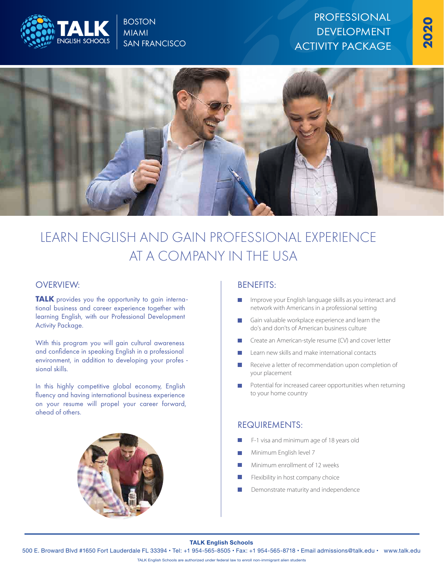

# **BOSTON** MIAMI SAN FRANCISCO

# PROFESSIONAL DEVELOPMENT ACTIVITY PACKAGE



# LEARN ENGLISH AND GAIN PROFESSIONAL EXPERIENCE AT A COMPANY IN THE USA

### OVERVIEW: BENEFITS:

**TALK** provides you the opportunity to gain international business and career experience together with learning English, with our Professional Development Activity Package.

With this program you will gain cultural awareness and confidence in speaking English in a professional environment, in addition to developing your profes sional skills.

In this highly competitive global economy, English fluency and having international business experience on your resume will propel your career forward, ahead of others.



- Improve your English language skills as you interact and network with Americans in a professional setting
- Gain valuable workplace experience and learn the do's and don'ts of American business culture
- Create an American-style resume (CV) and cover letter
- Learn new skills and make international contacts
- Receive a letter of recommendation upon completion of your placement
- Potential for increased career opportunities when returning to your home country

# REQUIREMENTS:

- F-1 visa and minimum age of 18 years old
- Minimum English level 7
- Minimum enrollment of 12 weeks
- Flexibility in host company choice
- Demonstrate maturity and independence

#### **TALK English Schools**

500 E. Broward Blvd #1650 Fort Lauderdale FL 33394 • Tel: +1 954-565-8505 • Fax: +1 954-565-8718 • Email admissions@talk.edu • www.talk.edu